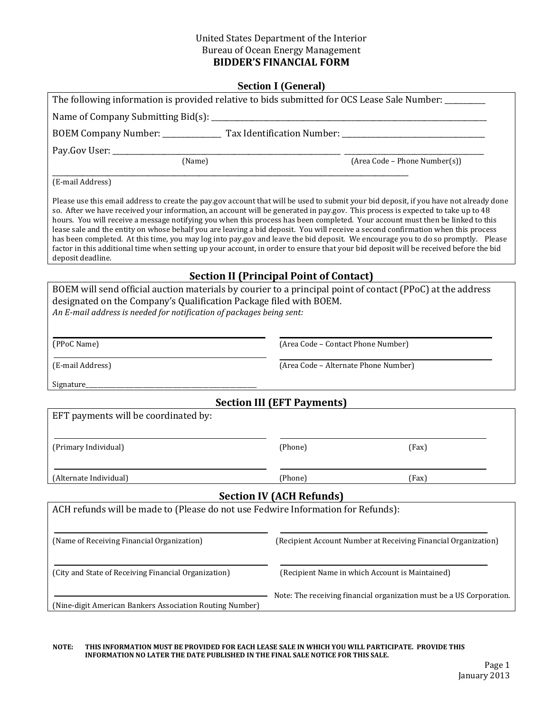#### United States Department of the Interior Bureau of Ocean Energy Management **BIDDER'S FINANCIAL FORM**

|                                                                                                                                                                                                                                                                                                                                                                                                                                                                                                                                                                                                                                                                                                                                                                                                                                                    | <b>Section I (General)</b>           |                                                                      |
|----------------------------------------------------------------------------------------------------------------------------------------------------------------------------------------------------------------------------------------------------------------------------------------------------------------------------------------------------------------------------------------------------------------------------------------------------------------------------------------------------------------------------------------------------------------------------------------------------------------------------------------------------------------------------------------------------------------------------------------------------------------------------------------------------------------------------------------------------|--------------------------------------|----------------------------------------------------------------------|
| The following information is provided relative to bids submitted for OCS Lease Sale Number: _______                                                                                                                                                                                                                                                                                                                                                                                                                                                                                                                                                                                                                                                                                                                                                |                                      |                                                                      |
|                                                                                                                                                                                                                                                                                                                                                                                                                                                                                                                                                                                                                                                                                                                                                                                                                                                    |                                      |                                                                      |
|                                                                                                                                                                                                                                                                                                                                                                                                                                                                                                                                                                                                                                                                                                                                                                                                                                                    |                                      |                                                                      |
| Pay.Gov User: _________________                                                                                                                                                                                                                                                                                                                                                                                                                                                                                                                                                                                                                                                                                                                                                                                                                    |                                      |                                                                      |
| $\boxed{\textbf{(Name)}}$                                                                                                                                                                                                                                                                                                                                                                                                                                                                                                                                                                                                                                                                                                                                                                                                                          |                                      | (Area Code - Phone Number(s))                                        |
| (E-mail Address)                                                                                                                                                                                                                                                                                                                                                                                                                                                                                                                                                                                                                                                                                                                                                                                                                                   |                                      |                                                                      |
| Please use this email address to create the pay gov account that will be used to submit your bid deposit, if you have not already done<br>so. After we have received your information, an account will be generated in pay.gov. This process is expected to take up to 48<br>hours. You will receive a message notifying you when this process has been completed. Your account must then be linked to this<br>lease sale and the entity on whose behalf you are leaving a bid deposit. You will receive a second confirmation when this process<br>has been completed. At this time, you may log into pay gov and leave the bid deposit. We encourage you to do so promptly. Please<br>factor in this additional time when setting up your account, in order to ensure that your bid deposit will be received before the bid<br>deposit deadline. |                                      |                                                                      |
| <b>Section II (Principal Point of Contact)</b>                                                                                                                                                                                                                                                                                                                                                                                                                                                                                                                                                                                                                                                                                                                                                                                                     |                                      |                                                                      |
| BOEM will send official auction materials by courier to a principal point of contact (PPoC) at the address<br>designated on the Company's Qualification Package filed with BOEM.<br>An E-mail address is needed for notification of packages being sent:                                                                                                                                                                                                                                                                                                                                                                                                                                                                                                                                                                                           |                                      |                                                                      |
| (PPoC Name)                                                                                                                                                                                                                                                                                                                                                                                                                                                                                                                                                                                                                                                                                                                                                                                                                                        | (Area Code - Contact Phone Number)   |                                                                      |
| (E-mail Address)                                                                                                                                                                                                                                                                                                                                                                                                                                                                                                                                                                                                                                                                                                                                                                                                                                   | (Area Code - Alternate Phone Number) |                                                                      |
| Signature_                                                                                                                                                                                                                                                                                                                                                                                                                                                                                                                                                                                                                                                                                                                                                                                                                                         |                                      |                                                                      |
|                                                                                                                                                                                                                                                                                                                                                                                                                                                                                                                                                                                                                                                                                                                                                                                                                                                    | <b>Section III (EFT Payments)</b>    |                                                                      |
| EFT payments will be coordinated by:                                                                                                                                                                                                                                                                                                                                                                                                                                                                                                                                                                                                                                                                                                                                                                                                               |                                      |                                                                      |
| (Primary Individual)                                                                                                                                                                                                                                                                                                                                                                                                                                                                                                                                                                                                                                                                                                                                                                                                                               | (Phone)                              | (Fax)                                                                |
| (Alternate Individual)                                                                                                                                                                                                                                                                                                                                                                                                                                                                                                                                                                                                                                                                                                                                                                                                                             | (Phone)                              | (Fax)                                                                |
|                                                                                                                                                                                                                                                                                                                                                                                                                                                                                                                                                                                                                                                                                                                                                                                                                                                    | <b>Section IV (ACH Refunds)</b>      |                                                                      |
| ACH refunds will be made to (Please do not use Fedwire Information for Refunds):                                                                                                                                                                                                                                                                                                                                                                                                                                                                                                                                                                                                                                                                                                                                                                   |                                      |                                                                      |
| (Name of Receiving Financial Organization)                                                                                                                                                                                                                                                                                                                                                                                                                                                                                                                                                                                                                                                                                                                                                                                                         |                                      | (Recipient Account Number at Receiving Financial Organization)       |
| (City and State of Receiving Financial Organization)                                                                                                                                                                                                                                                                                                                                                                                                                                                                                                                                                                                                                                                                                                                                                                                               |                                      | (Recipient Name in which Account is Maintained)                      |
| (Nine-digit American Bankers Association Routing Number)                                                                                                                                                                                                                                                                                                                                                                                                                                                                                                                                                                                                                                                                                                                                                                                           |                                      | Note: The receiving financial organization must be a US Corporation. |
|                                                                                                                                                                                                                                                                                                                                                                                                                                                                                                                                                                                                                                                                                                                                                                                                                                                    |                                      |                                                                      |

**NOTE: THIS INFORMATION MUST BE PROVIDED FOR EACH LEASE SALE IN WHICH YOU WILL PARTICIPATE. PROVIDE THIS INFORMATION NO LATER THE DATE PUBLISHED IN THE FINAL SALE NOTICE FOR THIS SALE.**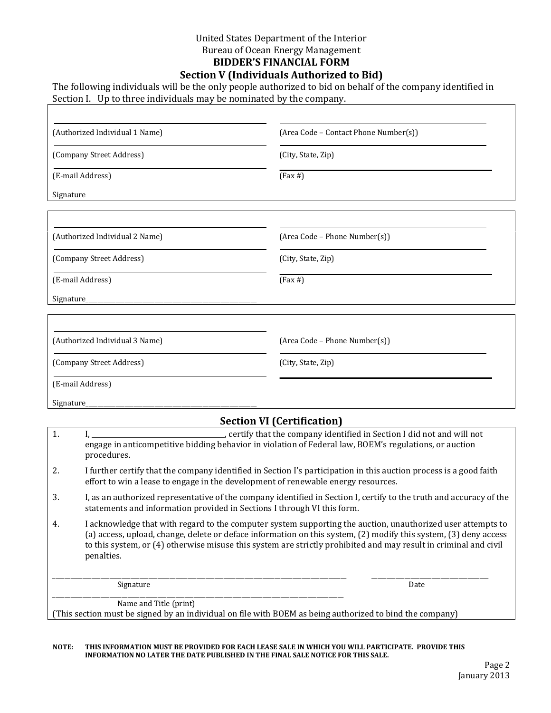#### United States Department of the Interior Bureau of Ocean Energy Management **BIDDER'S FINANCIAL FORM Section V (Individuals Authorized to Bid)**

The following individuals will be the only people authorized to bid on behalf of the company identified in Section I. Up to three individuals may be nominated by the company.

| (Authorized Individual 1 Name)    | (Area Code - Contact Phone Number(s)) |  |  |
|-----------------------------------|---------------------------------------|--|--|
| (Company Street Address)          | (City, State, Zip)                    |  |  |
| (E-mail Address)                  | $(Fax \#)$                            |  |  |
| Signature_                        |                                       |  |  |
|                                   |                                       |  |  |
| (Authorized Individual 2 Name)    | (Area Code - Phone Number(s))         |  |  |
| (Company Street Address)          | (City, State, Zip)                    |  |  |
| (E-mail Address)                  | $(Fax \#)$                            |  |  |
| Signature_                        |                                       |  |  |
|                                   |                                       |  |  |
| (Authorized Individual 3 Name)    | (Area Code - Phone Number(s))         |  |  |
| (Company Street Address)          | (City, State, Zip)                    |  |  |
| (E-mail Address)                  |                                       |  |  |
| Signature_                        |                                       |  |  |
| <b>Section VI (Certification)</b> |                                       |  |  |

# 1. I, \_\_\_\_\_\_\_\_\_\_\_\_\_\_\_\_\_\_\_\_\_\_\_\_\_\_\_\_\_\_\_\_\_\_\_\_\_\_\_\_, certify that the company identified in Section I did not and will not engage in anticompetitive bidding behavior in violation of Federal law, BOEM's regulations, or auction procedures. 2. I further certify that the company identified in Section I's participation in this auction process is a good faith effort to win a lease to engage in the development of renewable energy resources. 3. I, as an authorized representative of the company identified in Section I, certify to the truth and accuracy of the statements and information provided in Sections I through VI this form. 4. I acknowledge that with regard to the computer system supporting the auction, unauthorized user attempts to (a) access, upload, change, delete or deface information on this system, (2) modify this system, (3) deny access to this system, or (4) otherwise misuse this system are strictly prohibited and may result in criminal and civil penalties. \_\_\_\_\_\_\_\_\_\_\_\_\_\_\_\_\_\_\_\_\_\_\_\_\_\_\_\_\_\_\_\_\_\_\_\_\_\_\_\_\_\_\_\_\_\_\_\_\_\_\_\_\_\_\_\_\_\_\_\_\_\_\_\_\_\_\_\_\_\_\_\_\_\_\_\_\_\_\_\_\_\_\_\_\_\_\_\_\_\_\_\_\_\_\_\_\_\_ \_\_\_\_\_\_\_\_\_\_\_\_\_\_\_\_\_\_\_\_\_\_\_\_\_\_\_\_\_\_\_\_\_\_\_\_\_\_\_ Signature Date Date of the Date of the Date of the Date of the Date of the Date of the Date of the Date of the \_\_\_\_\_\_\_\_\_\_\_\_\_\_\_\_\_\_\_\_\_\_\_\_\_\_\_\_\_\_\_\_\_\_\_\_\_\_\_\_\_\_\_\_\_\_\_\_\_\_\_\_\_\_\_\_\_\_\_\_\_\_\_\_\_\_\_\_\_\_\_\_\_\_\_\_\_\_\_\_\_\_\_\_\_\_\_\_\_\_\_\_\_\_\_\_\_ Name and Title (print) (This section must be signed by an individual on file with BOEM as being authorized to bind the company)

#### **NOTE: THIS INFORMATION MUST BE PROVIDED FOR EACH LEASE SALE IN WHICH YOU WILL PARTICIPATE. PROVIDE THIS INFORMATION NO LATER THE DATE PUBLISHED IN THE FINAL SALE NOTICE FOR THIS SALE.**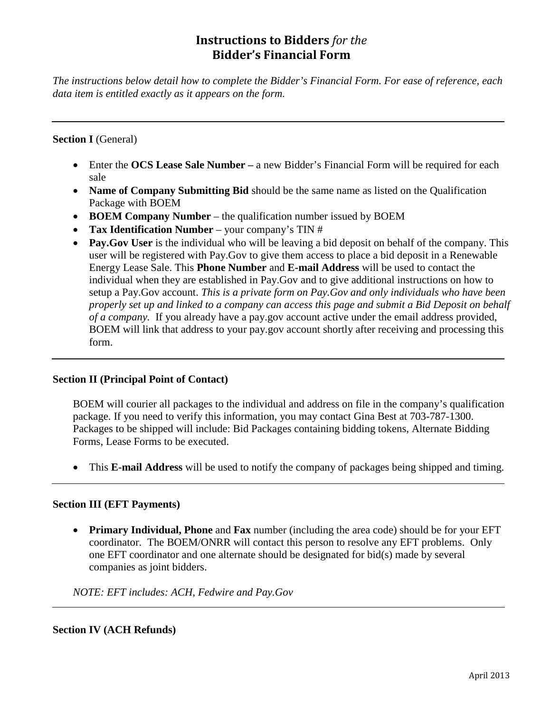# **Instructions to Bidders** *for the*  **Bidder's Financial Form**

*The instructions below detail how to complete the Bidder's Financial Form. For ease of reference, each data item is entitled exactly as it appears on the form.*

## **Section I** (General)

- Enter the **OCS Lease Sale Number –** a new Bidder's Financial Form will be required for each sale
- **Name of Company Submitting Bid** should be the same name as listed on the Qualification Package with BOEM
- **BOEM Company Number** the qualification number issued by BOEM
- **Tax Identification Number** your company's TIN #
- **Pay.Gov User** is the individual who will be leaving a bid deposit on behalf of the company. This user will be registered with Pay.Gov to give them access to place a bid deposit in a Renewable Energy Lease Sale. This **Phone Number** and **E-mail Address** will be used to contact the individual when they are established in Pay.Gov and to give additional instructions on how to setup a Pay.Gov account. *This is a private form on Pay.Gov and only individuals who have been properly set up and linked to a company can access this page and submit a Bid Deposit on behalf of a company.* If you already have a pay.gov account active under the email address provided, BOEM will link that address to your pay.gov account shortly after receiving and processing this form.

### **Section II (Principal Point of Contact)**

BOEM will courier all packages to the individual and address on file in the company's qualification package. If you need to verify this information, you may contact Gina Best at 703-787-1300. Packages to be shipped will include: Bid Packages containing bidding tokens, Alternate Bidding Forms, Lease Forms to be executed.

• This **E-mail Address** will be used to notify the company of packages being shipped and timing.

### **Section III (EFT Payments)**

• **Primary Individual, Phone** and **Fax** number (including the area code) should be for your EFT coordinator. The BOEM/ONRR will contact this person to resolve any EFT problems. Only one EFT coordinator and one alternate should be designated for bid(s) made by several companies as joint bidders.

*NOTE: EFT includes: ACH, Fedwire and Pay.Gov*

### **Section IV (ACH Refunds)**